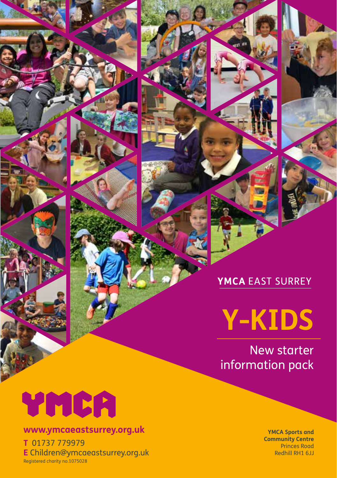**Y-KIDS**

New starter information pack

# YMCA

#### **www.ymcaeastsurrey.org.uk**

**T** 01737 779979 **E** Children@ymcaeastsurrey.org.uk Registered charity no.1075028

**YMCA Sports and Community Centre** Princes Road Redhill RH1 6JJ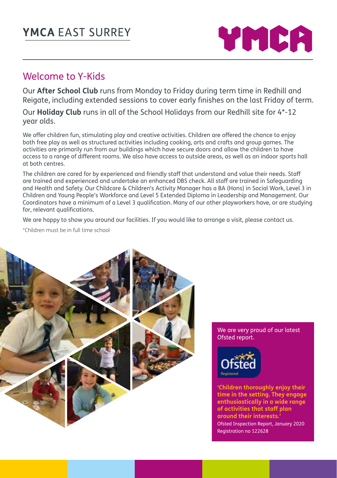

#### Welcome to Y-Kids

Our **After School Club** runs from Monday to Friday during term time in Redhill and Reigate, including extended sessions to cover early finishes on the last Friday of term.

Our **Holiday Club** runs in all of the School Holidays from our Redhill site for 4\*-12 year olds.

We offer children fun, stimulating play and creative activities. Children are offered the chance to enjoy both free play as well as structured activities including cooking, arts and crafts and group games. The activities are primarily run from our buildings which have secure doors and allow the children to have access to a range of different rooms. We also have access to outside areas, as well as an indoor sports hall at both centres.

The children are cared for by experienced and friendly staff that understand and value their needs. Staff are trained and experienced and undertake an enhanced DBS check. All staff are trained in Safeguarding and Health and Safety. Our Childcare & Children's Activity Manager has a BA (Hons) in Social Work, Level 3 in Children and Young People's Workforce and Level 5 Extended Diploma in Leadership and Management. Our Coordinators have a minimum of a Level 3 qualification. Many of our other playworkers have, or are studying for, relevant qualifications.

We are happy to show you around our facilities. If you would like to arrange a visit, please contact us.

\*Children must be in full time school



We are very proud of our latest Ofsted report.



**'Children thoroughly enjoy their time in the setting. They engage enthusiastically in a wide range of activities that staff plan around their interests.'** Ofsted Inspection Report, January 2020 Registration no 122628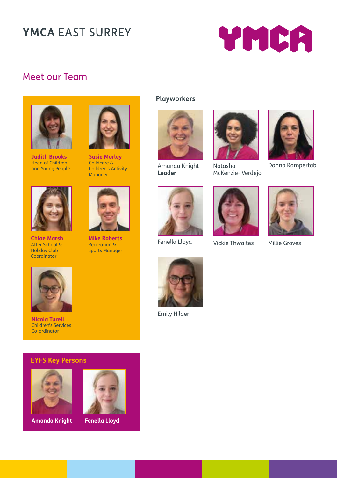

# Meet our Team



**Judith Brooks** Head of Children and Young People



**Chloe Marsh**  After School & Holiday Club **Coordinator** 



**Susie Morley** Childcare & Children's Activity **Manager** 



**Mike Roberts** Recreation & Sports Manager





Amanda Knight **Leader**



Natasha McKenzie- Verdejo



Donna Rampertab



Fenella Lloyd Millie Groves Vickie Thwaites





**Nicola Turell** Children's Services Co-ordinator

#### **EYFS Key Persons**



**Amanda Knight Fenella Lloyd**





Emily Hilder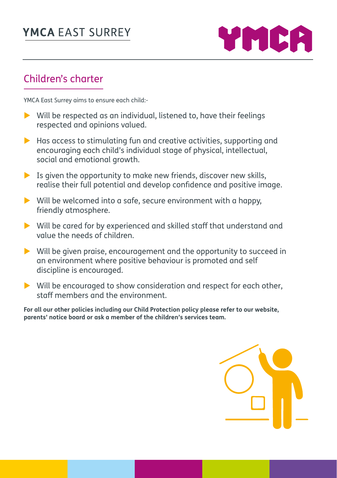

## Children's charter

YMCA East Surrey aims to ensure each child:-

- $\triangleright$  Will be respected as an individual, listened to, have their feelings respected and opinions valued.
- $\blacktriangleright$  Has access to stimulating fun and creative activities, supporting and encouraging each child's individual stage of physical, intellectual, social and emotional growth.
- $\blacktriangleright$  Is given the opportunity to make new friends, discover new skills, realise their full potential and develop confidence and positive image.
- $\triangleright$  Will be welcomed into a safe, secure environment with a happy, friendly atmosphere.
- $\triangleright$  Will be cared for by experienced and skilled staff that understand and value the needs of children.
- $\triangleright$  Will be given praise, encouragement and the opportunity to succeed in an environment where positive behaviour is promoted and self discipline is encouraged.
- $\triangleright$  Will be encouraged to show consideration and respect for each other, staff members and the environment.

**For all our other policies including our Child Protection policy please refer to our website, parents' notice board or ask a member of the children's services team.**

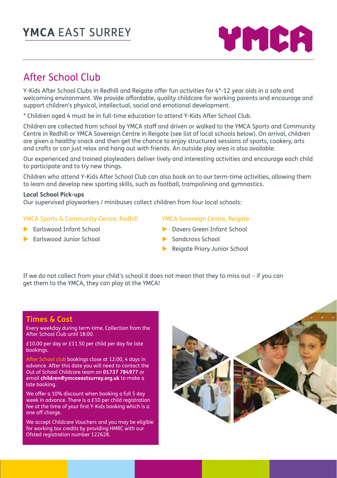

# After School Club

Y-Kids After School Clubs in Redhill and Reigate offer fun activities for 4\*-12 year olds in a safe and welcoming environment. We provide affordable, quality childcare for working parents and encourage and support children's physical, intellectual, social and emotional development.

\* Children aged 4 must be in full-time education to attend Y-Kids After School Club.

Children are collected from school by YMCA staff and driven or walked to the YMCA Sports and Community Centre in Redhill or YMCA Sovereign Centre in Reigate (see list of local schools below). On arrival, children are given a healthy snack and then get the chance to enjoy structured sessions of sports, cookery, arts and crafts or can just relax and hang out with friends. An outside play area is also available.

Our experienced and trained playleaders deliver lively and interesting activities and encourage each child to participate and to try new things.

Children who attend Y-Kids After School Club can also book on to our term-time activities, allowing them to learn and develop new sporting skills, such as football, trampolining and gymnastics.

#### **Local School Pick-ups**

Our supervised playworkers / minibuses collect children from four local schools:

#### YMCA Sports & Community Centre, Redhill

- $\blacktriangleright$  Earlswood Infant School
- $\blacktriangleright$  Earlswood Junior School

#### YMCA Sovereign Centre, Rejagte

- **Dovers Green Infant School**
- $\blacktriangleright$  Sandcross School
- **Reigate Priory Junior School**

If we do not collect from your child's school it does not mean that they to miss out – if you can get them to the YMCA, they can play at the YMCA!

#### **Times & Cost**

Every weekday during term-time. Collection from the After School Club until 18:00.

£10.00 per day or £11.50 per child per day for late bookings.

After School club bookings close at 12:00, 4 days in advance. After this date you will need to contact the Out of School Childcare team on **01737 784977** or email **children@ymcaeastsurrey.org.uk** to make a late booking.

We offer a 10% discount when booking a full 5 day week in advance. There is a £10 per child registration fee at the time of your first Y-Kids booking which is a one off charge.

We accept Childcare Vouchers and you may be eligible for working tax credits by providing HMRC with our Ofsted registration number 122628.

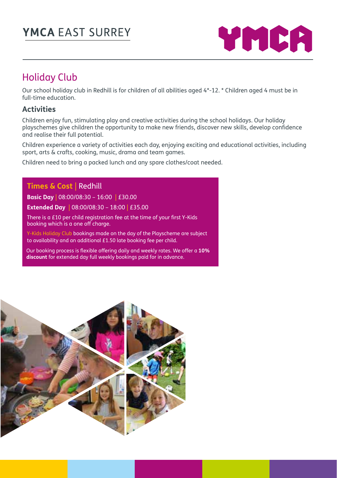

# Holiday Club

Our school holiday club in Redhill is for children of all abilities aged 4\*-12. \* Children aged 4 must be in full-time education.

#### **Activities**

Children enjoy fun, stimulating play and creative activities during the school holidays. Our holiday playschemes give children the opportunity to make new friends, discover new skills, develop confidence and realise their full potential.

Children experience a variety of activities each day, enjoying exciting and educational activities, including sport, arts & crafts, cooking, music, drama and team games.

Children need to bring a packed lunch and any spare clothes/coat needed.

#### **Times & Cost** | Redhill

**Basic Day** | 08:00/08:30 – 16:00 | £30.00

**Extended Day** | 08:00/08:30 – 18:00 | £35.00

There is a £10 per child registration fee at the time of your first Y-Kids booking which is a one off charge.

Y-Kids Holiday Club bookings made on the day of the Playscheme are subject to availability and an additional £1.50 late booking fee per child.

Our booking process is flexible offering daily and weekly rates. We offer a **10% discount** for extended day full weekly bookings paid for in advance.

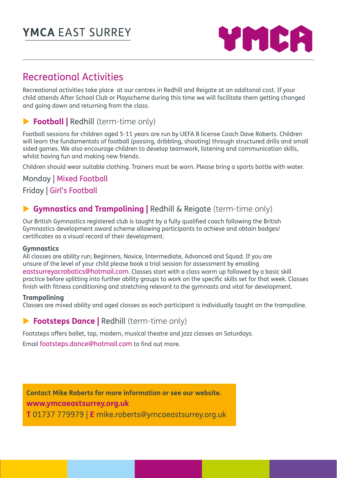

#### Recreational Activities

Recreational activities take place at our centres in Redhill and Reigate at an additonal cost. If your child attends After School Club or Playscheme during this time we will facilitate them getting changed and going down and returning from the class.

#### **Football | Redhill (term-time only)**

Football sessions for children aged 5-11 years are run by UEFA B license Coach Dave Roberts. Children will learn the fundamentals of football (passing, dribbling, shooting) through structured drills and small sided games. We also encourage children to develop teamwork, listening and communication skills, whilst having fun and making new friends.

Children should wear suitable clothing. Trainers must be worn. Please bring a sports bottle with water.

#### Monday | Mixed Football Friday | Girl's Football

#### **Gymnastics and Trampolining | Redhill & Reigate (term-time only)**

Our British Gymnastics registered club is taught by a fully qualified coach following the British Gymnastics development award scheme allowing participants to achieve and obtain badges/ certificates as a visual record of their development.

#### **Gymnastics**

All classes are ability run; Beginners, Novice, Intermediate. Advanced and Sauad. If you are unsure of the level of your child please book a trial session for assessment by emailing eastsurreyacrobatics@hotmail.com. Classes start with a class warm up followed by a basic skill practice before splitting into further ability groups to work on the specific skills set for that week. Classes finish with fitness conditioning and stretching relevant to the gymnasts and vital for development.

#### **Trampolining**

Classes are mixed ability and aged classes as each participant is individually taught on the trampoline.

#### **Footsteps Dance | Redhill (term-time only)**

Footsteps offers ballet, tap, modern, musical theatre and jazz classes on Saturdays. Email footsteps.dance@hotmail.com to find out more.

**Contact Mike Roberts for more information or see our website. www.ymcaeastsurrey.org.uk T** 01737 779979 | **E** mike.roberts@ymcaeastsurrey.org.uk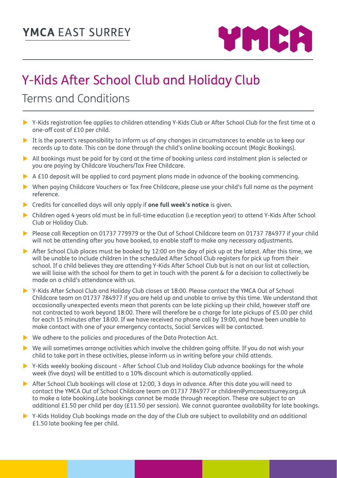

# Y-Kids After School Club and Holiday Club

# Terms and Conditions

- $\triangleright$  Y-Kids registration fee applies to children attending Y-Kids Club or After School Club for the first time at a one-off cost of £10 per child.
- $\triangleright$  It is the parent's responsibility to inform us of any changes in circumstances to enable us to keep our records up to date. This can be done through the child's online booking account (Magic Bookings).
- $\triangleright$  All bookings must be paid for by card at the time of booking unless card instalment plan is selected or you are paying by Childcare Vouchers/Tax Free Childcare.
- $\triangleright$  A £10 deposit will be applied to card payment plans made in advance of the booking commencing.
- ▶ When paying Childcare Vouchers or Tax Free Childcare, please use your child's full name as the payment reference.
- **EXTERNAL Credits for cancelled days will only apply if one full week's notice** is given.
- ▶ Children aged 4 years old must be in full-time education (i.e reception year) to attend Y-Kids After School Club or Holiday Club.
- Please call Reception on 01737 779979 or the Out of School Childcare team on 01737 784977 if your child will not be attending after you have booked, to enable staff to make any necessary adjustments.
- After School Club places must be booked by 12:00 on the day of pick up at the latest. After this time, we will be unable to include children in the scheduled After School Club registers for pick up from their school. If a child believes they are attending Y-Kids After School Club but is not on our list at collection, we will liaise with the school for them to get in touch with the parent & for a decision to collectively be made on a child's attendance with us.
- ▶ Y-Kids After School Club and Holiday Club closes at 18:00. Please contact the YMCA Out of School Childcare team on 01737 784977 if you are held up and unable to arrive by this time. We understand that occasionally unexpected events mean that parents can be late picking up their child, however staff are not contracted to work beyond 18:00. There will therefore be a charge for late pickups of £5.00 per child for each 15 minutes after 18:00. If we have received no phone call by 19:00, and have been unable to make contact with one of your emergency contacts, Social Services will be contacted.
- $\blacktriangleright$  We adhere to the policies and procedures of the Data Protection Act.
- $\triangleright$  We will sometimes arrange activities which involve the children going offsite. If you do not wish your child to take part in these activities, please inform us in writing before your child attends.
- ▶ Y-Kids weekly booking discount After School Club and Holiday Club advance bookings for the whole week (five days) will be entitled to a 10% discount which is automatically applied.
- After School Club bookings will close at 12:00, 3 days in advance. After this date you will need to contact the YMCA Out of School Childcare team on 01737 784977 or children@ymcaeastsurrey.org.uk to make a late booking.Late bookings cannot be made through reception. These are subject to an additional £1.50 per child per day (£11.50 per session). We cannot guarantee availability for late bookings.
- $\triangleright$  Y-Kids Holiday Club bookings made on the day of the Club are subject to availability and an additional £1.50 late booking fee per child.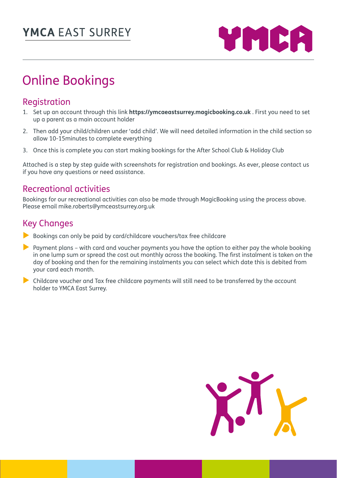

# Online Bookings

#### Registration

- 1. Set up an account through this link **https://ymcaeastsurrey.magicbooking.co.uk** . First you need to set up a parent as a main account holder
- 2. Then add your child/children under 'add child'. We will need detailed information in the child section so allow 10-15minutes to complete everything
- 3. Once this is complete you can start making bookings for the After School Club & Holiday Club

Attached is a step by step guide with screenshots for registration and bookings. As ever, please contact us if you have any questions or need assistance.

#### Recreational activities

Bookings for our recreational activities can also be made through MagicBooking using the process above. Please email mike.roberts@ymceastsurrey.org.uk

#### Key Changes

- $\blacktriangleright$  Bookings can only be paid by card/childcare vouchers/tax free childcare
- Payment plans with card and voucher payments you have the option to either pay the whole booking in one lump sum or spread the cost out monthly across the booking. The first instalment is taken on the day of booking and then for the remaining instalments you can select which date this is debited from your card each month.
- $\triangleright$  Childcare voucher and Tax free childcare payments will still need to be transferred by the account holder to YMCA East Surrey.

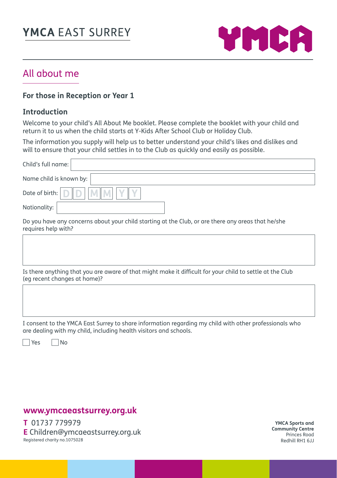

## All about me

#### **For those in Reception or Year 1**

#### **Introduction**

Welcome to your child's All About Me booklet. Please complete the booklet with your child and return it to us when the child starts at Y-Kids After School Club or Holiday Club.

The information you supply will help us to better understand your child's likes and dislikes and will to ensure that your child settles in to the Club as quickly and easily as possible.

| Child's full name:                                                                                |
|---------------------------------------------------------------------------------------------------|
| Name child is known by:                                                                           |
| Date of birth: D D M M                                                                            |
| Nationality:                                                                                      |
| Do you have any concerns about your child starting at the Club or are there any greas that he/she |

tarting at the Club, or are there any: requires help with?

Is there anything that you are aware of that might make it difficult for your child to settle at the Club (eg recent changes at home)?

I consent to the YMCA East Surrey to share information regarding my child with other professionals who are dealing with my child, including health visitors and schools.

 $\Box$ Yes  $\Box$ No

#### **www.ymcaeastsurrey.org.uk**

**T** 01737 779979 **E** Children@ymcaeastsurrey.org.uk Registered charity no.1075028

**YMCA Sports and Community Centre** Princes Road Redhill RH1 6JJ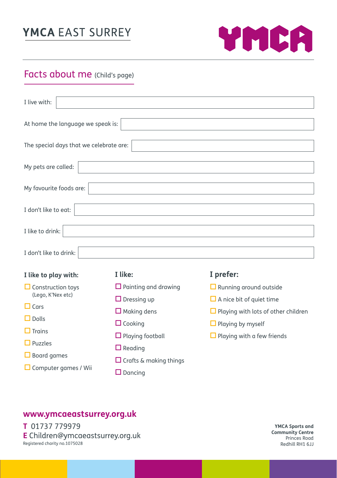

# Facts about me (Child's page)

| I live with:                                                 |                               |                                            |  |
|--------------------------------------------------------------|-------------------------------|--------------------------------------------|--|
| At home the language we speak is:                            |                               |                                            |  |
| The special days that we celebrate are:                      |                               |                                            |  |
| My pets are called:                                          |                               |                                            |  |
| My favourite foods are:                                      |                               |                                            |  |
| I don't like to eat:                                         |                               |                                            |  |
| I like to drink:                                             |                               |                                            |  |
| I don't like to drink:                                       |                               |                                            |  |
| I like to play with:                                         | I like:                       | I prefer:                                  |  |
| $\Box$ Construction toys<br>(Lego, K'Nex etc)<br>$\Box$ Cars | $\Box$ Painting and drawing   | $\Box$ Running around outside              |  |
|                                                              | $\Box$ Dressing up            | $\Box$ A nice bit of quiet time            |  |
|                                                              | $\Box$ Making dens            | $\Box$ Playing with lots of other children |  |
| $\Box$ Dolls                                                 | $\Box$ Cooking                | $\Box$ Playing by myself                   |  |
| $\Box$ Trains                                                | $\Box$ Playing football       | $\Box$ Playing with a few friends          |  |
| $\Box$ Puzzles                                               | $\Box$ Reading                |                                            |  |
| $\Box$ Board games                                           | $\Box$ Crafts & making things |                                            |  |
| $\Box$ Computer games / Wii                                  | $\Box$ Dancing                |                                            |  |

#### **www.ymcaeastsurrey.org.uk**

**T** 01737 779979 **E** Children@ymcaeastsurrey.org.uk Registered charity no.1075028

**YMCA Sports and Community Centre** Princes Road Redhill RH1 6JJ